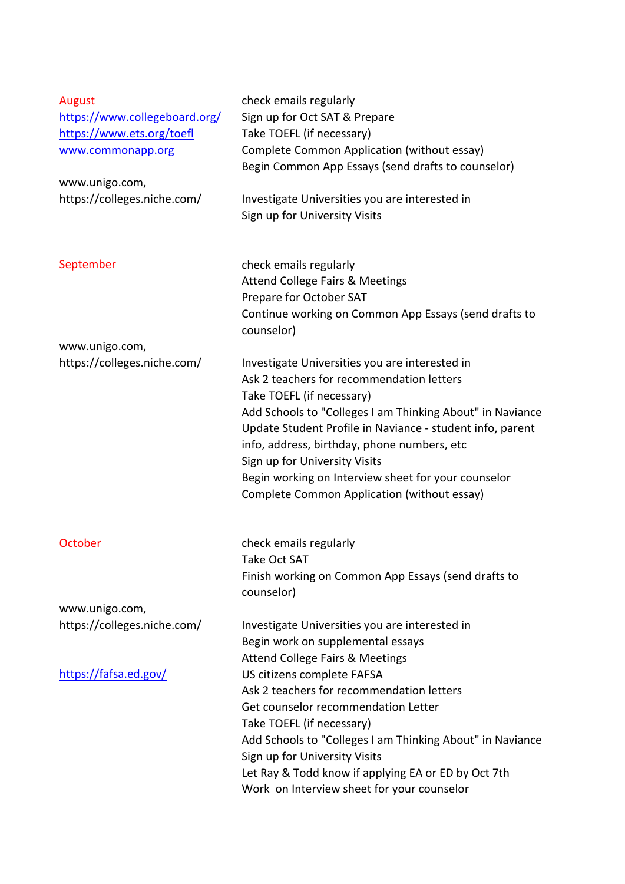| August<br>https://www.collegeboard.org/<br>https://www.ets.org/toefl<br>www.commonapp.org<br>www.unigo.com,<br>https://colleges.niche.com/ | check emails regularly<br>Sign up for Oct SAT & Prepare<br>Take TOEFL (if necessary)<br>Complete Common Application (without essay)<br>Begin Common App Essays (send drafts to counselor)<br>Investigate Universities you are interested in<br>Sign up for University Visits                                                                   |
|--------------------------------------------------------------------------------------------------------------------------------------------|------------------------------------------------------------------------------------------------------------------------------------------------------------------------------------------------------------------------------------------------------------------------------------------------------------------------------------------------|
|                                                                                                                                            |                                                                                                                                                                                                                                                                                                                                                |
| September                                                                                                                                  | check emails regularly<br><b>Attend College Fairs &amp; Meetings</b><br>Prepare for October SAT<br>Continue working on Common App Essays (send drafts to<br>counselor)                                                                                                                                                                         |
| www.unigo.com,                                                                                                                             |                                                                                                                                                                                                                                                                                                                                                |
| https://colleges.niche.com/                                                                                                                | Investigate Universities you are interested in<br>Ask 2 teachers for recommendation letters<br>Take TOEFL (if necessary)                                                                                                                                                                                                                       |
|                                                                                                                                            | Add Schools to "Colleges I am Thinking About" in Naviance<br>Update Student Profile in Naviance - student info, parent<br>info, address, birthday, phone numbers, etc<br>Sign up for University Visits                                                                                                                                         |
|                                                                                                                                            | Begin working on Interview sheet for your counselor<br>Complete Common Application (without essay)                                                                                                                                                                                                                                             |
| October                                                                                                                                    | check emails regularly                                                                                                                                                                                                                                                                                                                         |
|                                                                                                                                            | Take Oct SAT<br>Finish working on Common App Essays (send drafts to<br>counselor)                                                                                                                                                                                                                                                              |
| www.unigo.com,                                                                                                                             |                                                                                                                                                                                                                                                                                                                                                |
| https://colleges.niche.com/                                                                                                                | Investigate Universities you are interested in<br>Begin work on supplemental essays<br><b>Attend College Fairs &amp; Meetings</b>                                                                                                                                                                                                              |
| https://fafsa.ed.gov/                                                                                                                      | US citizens complete FAFSA<br>Ask 2 teachers for recommendation letters<br>Get counselor recommendation Letter<br>Take TOEFL (if necessary)<br>Add Schools to "Colleges I am Thinking About" in Naviance<br>Sign up for University Visits<br>Let Ray & Todd know if applying EA or ED by Oct 7th<br>Work on Interview sheet for your counselor |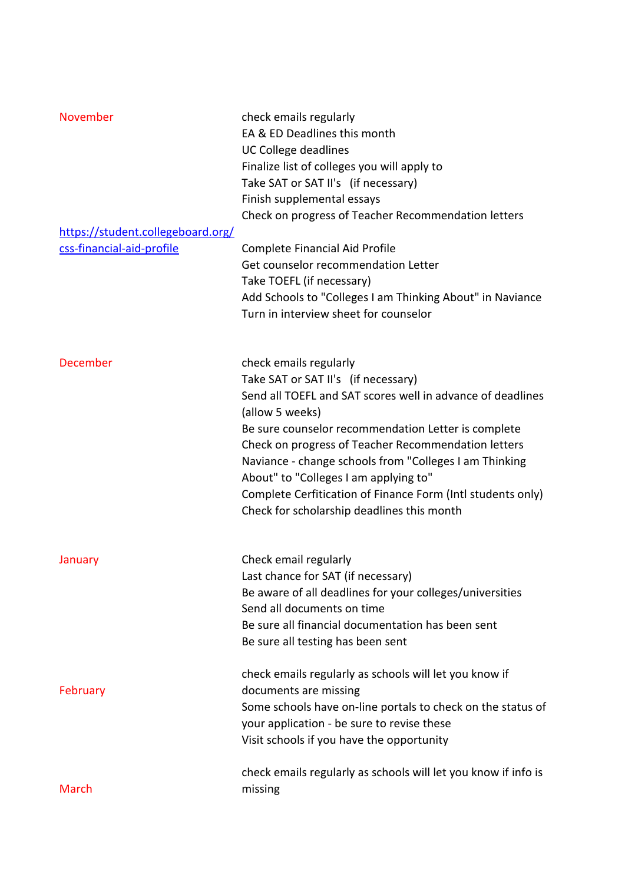| November                          | check emails regularly<br>EA & ED Deadlines this month<br><b>UC College deadlines</b><br>Finalize list of colleges you will apply to<br>Take SAT or SAT II's (if necessary)<br>Finish supplemental essays<br>Check on progress of Teacher Recommendation letters                                                                                                                                                                                                             |
|-----------------------------------|------------------------------------------------------------------------------------------------------------------------------------------------------------------------------------------------------------------------------------------------------------------------------------------------------------------------------------------------------------------------------------------------------------------------------------------------------------------------------|
| https://student.collegeboard.org/ |                                                                                                                                                                                                                                                                                                                                                                                                                                                                              |
| css-financial-aid-profile         | <b>Complete Financial Aid Profile</b><br>Get counselor recommendation Letter<br>Take TOEFL (if necessary)<br>Add Schools to "Colleges I am Thinking About" in Naviance<br>Turn in interview sheet for counselor                                                                                                                                                                                                                                                              |
| <b>December</b>                   | check emails regularly<br>Take SAT or SAT II's (if necessary)<br>Send all TOEFL and SAT scores well in advance of deadlines<br>(allow 5 weeks)<br>Be sure counselor recommendation Letter is complete<br>Check on progress of Teacher Recommendation letters<br>Naviance - change schools from "Colleges I am Thinking<br>About" to "Colleges I am applying to"<br>Complete Cerfitication of Finance Form (Intl students only)<br>Check for scholarship deadlines this month |
| January                           | Check email regularly<br>Last chance for SAT (if necessary)<br>Be aware of all deadlines for your colleges/universities<br>Send all documents on time<br>Be sure all financial documentation has been sent<br>Be sure all testing has been sent                                                                                                                                                                                                                              |
| February                          | check emails regularly as schools will let you know if<br>documents are missing<br>Some schools have on-line portals to check on the status of<br>your application - be sure to revise these<br>Visit schools if you have the opportunity                                                                                                                                                                                                                                    |
| March                             | check emails regularly as schools will let you know if info is<br>missing                                                                                                                                                                                                                                                                                                                                                                                                    |